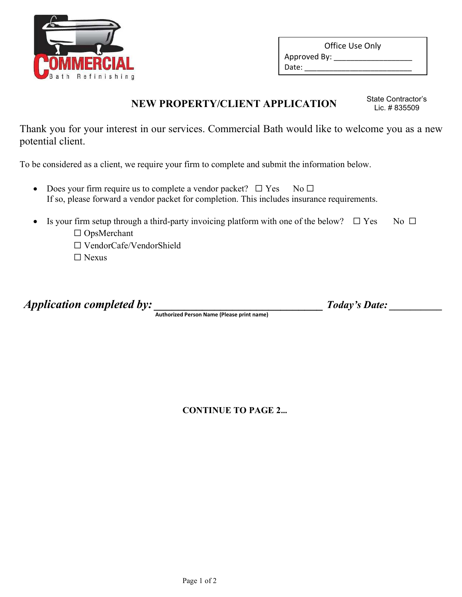

| Approved By: _ | Office Use Only |
|----------------|-----------------|
|                |                 |
| Date:          |                 |

# NEW PROPERTY/CLIENT APPLICATION State Contractor's

Lic. # 835509

Thank you for your interest in our services. Commercial Bath would like to welcome you as a new potential client.

To be considered as a client, we require your firm to complete and submit the information below.

- Does your firm require us to complete a vendor packet?  $\Box$  Yes No  $\Box$ If so, please forward a vendor packet for completion. This includes insurance requirements.
- Is your firm setup through a third-party invoicing platform with one of the below?  $\Box$  Yes No  $\Box$ 
	- ☐ OpsMerchant
	- ☐ VendorCafe/VendorShield
	- ☐ Nexus

Application completed by: \_\_\_\_\_\_\_\_\_\_\_\_\_\_\_\_\_\_\_\_\_\_\_\_\_\_\_\_ Today's Date: \_\_\_\_\_\_\_\_\_\_

Authorized Person Name (Please print name)

CONTINUE TO PAGE 2…